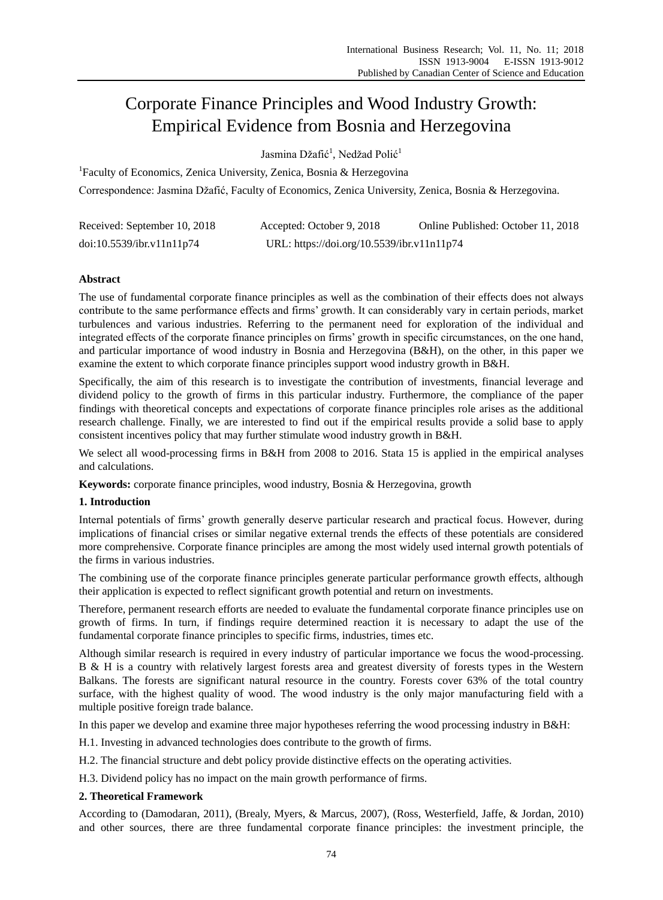# Corporate Finance Principles and Wood Industry Growth: Empirical Evidence from Bosnia and Herzegovina

Jasmina Džafić<sup>1</sup>, Nedžad Polić<sup>1</sup>

<sup>1</sup>Faculty of Economics, Zenica University, Zenica, Bosnia & Herzegovina Correspondence: Jasmina Džafić, Faculty of Economics, Zenica University, Zenica, Bosnia & Herzegovina.

| Received: September 10, 2018 | Accepted: October 9, 2018                  | Online Published: October 11, 2018 |
|------------------------------|--------------------------------------------|------------------------------------|
| doi:10.5539/ibr.v11n11p74    | URL: https://doi.org/10.5539/ibr.v11n11p74 |                                    |

# **Abstract**

The use of fundamental corporate finance principles as well as the combination of their effects does not always contribute to the same performance effects and firms' growth. It can considerably vary in certain periods, market turbulences and various industries. Referring to the permanent need for exploration of the individual and integrated effects of the corporate finance principles on firms' growth in specific circumstances, on the one hand, and particular importance of wood industry in Bosnia and Herzegovina (B&H), on the other, in this paper we examine the extent to which corporate finance principles support wood industry growth in B&H.

Specifically, the aim of this research is to investigate the contribution of investments, financial leverage and dividend policy to the growth of firms in this particular industry. Furthermore, the compliance of the paper findings with theoretical concepts and expectations of corporate finance principles role arises as the additional research challenge. Finally, we are interested to find out if the empirical results provide a solid base to apply consistent incentives policy that may further stimulate wood industry growth in B&H.

We select all wood-processing firms in B&H from 2008 to 2016. Stata 15 is applied in the empirical analyses and calculations.

**Keywords:** corporate finance principles, wood industry, Bosnia & Herzegovina, growth

# **1. Introduction**

Internal potentials of firms' growth generally deserve particular research and practical focus. However, during implications of financial crises or similar negative external trends the effects of these potentials are considered more comprehensive. Corporate finance principles are among the most widely used internal growth potentials of the firms in various industries.

The combining use of the corporate finance principles generate particular performance growth effects, although their application is expected to reflect significant growth potential and return on investments.

Therefore, permanent research efforts are needed to evaluate the fundamental corporate finance principles use on growth of firms. In turn, if findings require determined reaction it is necessary to adapt the use of the fundamental corporate finance principles to specific firms, industries, times etc.

Although similar research is required in every industry of particular importance we focus the wood-processing. B & H is a country with relatively largest forests area and greatest diversity of forests types in the Western Balkans. The forests are significant natural resource in the country. Forests cover 63% of the total country surface, with the highest quality of wood. The wood industry is the only major manufacturing field with a multiple positive foreign trade balance.

In this paper we develop and examine three major hypotheses referring the wood processing industry in B&H:

H.1. Investing in advanced technologies does contribute to the growth of firms.

H.2. The financial structure and debt policy provide distinctive effects on the operating activities.

H.3. Dividend policy has no impact on the main growth performance of firms.

# **2. Theoretical Framework**

According to (Damodaran, 2011), (Brealy, Myers, & Marcus, 2007), (Ross, Westerfield, Jaffe, & Jordan, 2010) and other sources, there are three fundamental corporate finance principles: the investment principle, the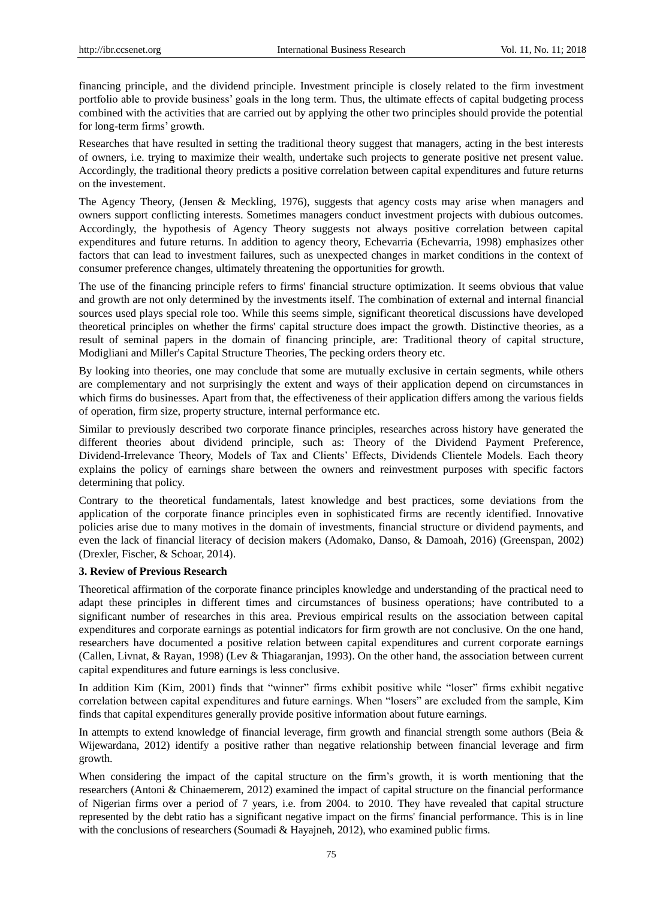financing principle, and the dividend principle. Investment principle is closely related to the firm investment portfolio able to provide business' goals in the long term. Thus, the ultimate effects of capital budgeting process combined with the activities that are carried out by applying the other two principles should provide the potential for long-term firms' growth.

Researches that have resulted in setting the traditional theory suggest that managers, acting in the best interests of owners, i.e. trying to maximize their wealth, undertake such projects to generate positive net present value. Accordingly, the traditional theory predicts a positive correlation between capital expenditures and future returns on the investement.

The Agency Theory, (Jensen & Meckling, 1976), suggests that agency costs may arise when managers and owners support conflicting interests. Sometimes managers conduct investment projects with dubious outcomes. Accordingly, the hypothesis of Agency Theory suggests not always positive correlation between capital expenditures and future returns. In addition to agency theory, Echevarria (Echevarria, 1998) emphasizes other factors that can lead to investment failures, such as unexpected changes in market conditions in the context of consumer preference changes, ultimately threatening the opportunities for growth.

The use of the financing principle refers to firms' financial structure optimization. It seems obvious that value and growth are not only determined by the investments itself. The combination of external and internal financial sources used plays special role too. While this seems simple, significant theoretical discussions have developed theoretical principles on whether the firms' capital structure does impact the growth. Distinctive theories, as a result of seminal papers in the domain of financing principle, are: Traditional theory of capital structure, Modigliani and Miller's Capital Structure Theories, The pecking orders theory etc.

By looking into theories, one may conclude that some are mutually exclusive in certain segments, while others are complementary and not surprisingly the extent and ways of their application depend on circumstances in which firms do businesses. Apart from that, the effectiveness of their application differs among the various fields of operation, firm size, property structure, internal performance etc.

Similar to previously described two corporate finance principles, researches across history have generated the different theories about dividend principle, such as: Theory of the Dividend Payment Preference, Dividend-Irrelevance Theory, Models of Tax and Clients' Effects, Dividends Clientele Models. Each theory explains the policy of earnings share between the owners and reinvestment purposes with specific factors determining that policy.

Contrary to the theoretical fundamentals, latest knowledge and best practices, some deviations from the application of the corporate finance principles even in sophisticated firms are recently identified. Innovative policies arise due to many motives in the domain of investments, financial structure or dividend payments, and even the lack of financial literacy of decision makers (Adomako, Danso, & Damoah, 2016) (Greenspan, 2002) (Drexler, Fischer, & Schoar, 2014).

#### **3. Review of Previous Research**

Theoretical affirmation of the corporate finance principles knowledge and understanding of the practical need to adapt these principles in different times and circumstances of business operations; have contributed to a significant number of researches in this area. Previous empirical results on the association between capital expenditures and corporate earnings as potential indicators for firm growth are not conclusive. On the one hand, researchers have documented a positive relation between capital expenditures and current corporate earnings (Callen, Livnat, & Rayan, 1998) (Lev & Thiagaranjan, 1993). On the other hand, the association between current capital expenditures and future earnings is less conclusive.

In addition Kim (Kim, 2001) finds that "winner" firms exhibit positive while "loser" firms exhibit negative correlation between capital expenditures and future earnings. When "losers" are excluded from the sample, Kim finds that capital expenditures generally provide positive information about future earnings.

In attempts to extend knowledge of financial leverage, firm growth and financial strength some authors (Beia & Wijewardana, 2012) identify a positive rather than negative relationship between financial leverage and firm growth.

When considering the impact of the capital structure on the firm's growth, it is worth mentioning that the researchers (Antoni & Chinaemerem, 2012) examined the impact of capital structure on the financial performance of Nigerian firms over a period of 7 years, i.e. from 2004. to 2010. They have revealed that capital structure represented by the debt ratio has a significant negative impact on the firms' financial performance. This is in line with the conclusions of researchers (Soumadi & Hayajneh, 2012), who examined public firms.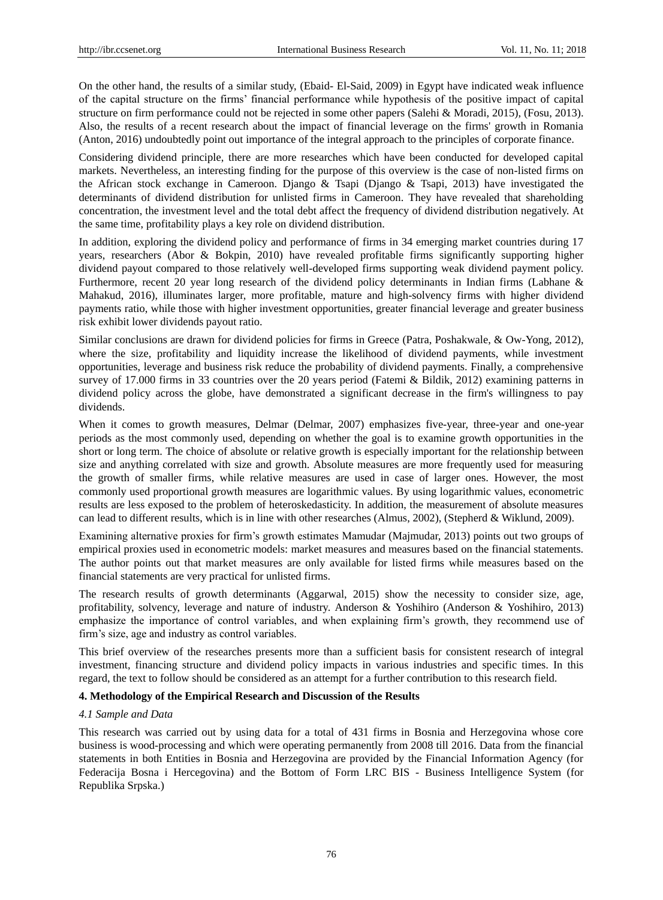On the other hand, the results of a similar study, (Ebaid- El-Said, 2009) in Egypt have indicated weak influence of the capital structure on the firms' financial performance while hypothesis of the positive impact of capital structure on firm performance could not be rejected in some other papers (Salehi & Moradi, 2015), (Fosu, 2013). Also, the results of a recent research about the impact of financial leverage on the firms' growth in Romania (Anton, 2016) undoubtedly point out importance of the integral approach to the principles of corporate finance.

Considering dividend principle, there are more researches which have been conducted for developed capital markets. Nevertheless, an interesting finding for the purpose of this overview is the case of non-listed firms on the African stock exchange in Cameroon. Django & Tsapi (Django & Tsapi, 2013) have investigated the determinants of dividend distribution for unlisted firms in Cameroon. They have revealed that shareholding concentration, the investment level and the total debt affect the frequency of dividend distribution negatively. At the same time, profitability plays a key role on dividend distribution.

In addition, exploring the dividend policy and performance of firms in 34 emerging market countries during 17 years, researchers (Abor & Bokpin, 2010) have revealed profitable firms significantly supporting higher dividend payout compared to those relatively well-developed firms supporting weak dividend payment policy. Furthermore, recent 20 year long research of the dividend policy determinants in Indian firms (Labhane & Mahakud, 2016), illuminates larger, more profitable, mature and high-solvency firms with higher dividend payments ratio, while those with higher investment opportunities, greater financial leverage and greater business risk exhibit lower dividends payout ratio.

Similar conclusions are drawn for dividend policies for firms in Greece (Patra, Poshakwale, & Ow-Yong, 2012), where the size, profitability and liquidity increase the likelihood of dividend payments, while investment opportunities, leverage and business risk reduce the probability of dividend payments. Finally, a comprehensive survey of 17.000 firms in 33 countries over the 20 years period (Fatemi & Bildik, 2012) examining patterns in dividend policy across the globe, have demonstrated a significant decrease in the firm's willingness to pay dividends.

When it comes to growth measures, Delmar (Delmar, 2007) emphasizes five-year, three-year and one-year periods as the most commonly used, depending on whether the goal is to examine growth opportunities in the short or long term. The choice of absolute or relative growth is especially important for the relationship between size and anything correlated with size and growth. Absolute measures are more frequently used for measuring the growth of smaller firms, while relative measures are used in case of larger ones. However, the most commonly used proportional growth measures are logarithmic values. By using logarithmic values, econometric results are less exposed to the problem of heteroskedasticity. In addition, the measurement of absolute measures can lead to different results, which is in line with other researches (Almus, 2002), (Stepherd & Wiklund, 2009).

Examining alternative proxies for firm's growth estimates Mamudar (Majmudar, 2013) points out two groups of empirical proxies used in econometric models: market measures and measures based on the financial statements. The author points out that market measures are only available for listed firms while measures based on the financial statements are very practical for unlisted firms.

The research results of growth determinants (Aggarwal, 2015) show the necessity to consider size, age, profitability, solvency, leverage and nature of industry. Anderson & Yoshihiro (Anderson & Yoshihiro, 2013) emphasize the importance of control variables, and when explaining firm's growth, they recommend use of firm's size, age and industry as control variables.

This brief overview of the researches presents more than a sufficient basis for consistent research of integral investment, financing structure and dividend policy impacts in various industries and specific times. In this regard, the text to follow should be considered as an attempt for a further contribution to this research field.

## **4. Methodology of the Empirical Research and Discussion of the Results**

## *4.1 Sample and Data*

This research was carried out by using data for a total of 431 firms in Bosnia and Herzegovina whose core business is wood-processing and which were operating permanently from 2008 till 2016. Data from the financial statements in both Entities in Bosnia and Herzegovina are provided by the Financial Information Agency (for Federacija Bosna i Hercegovina) and the Bottom of Form LRC BIS - Business Intelligence System (for Republika Srpska.)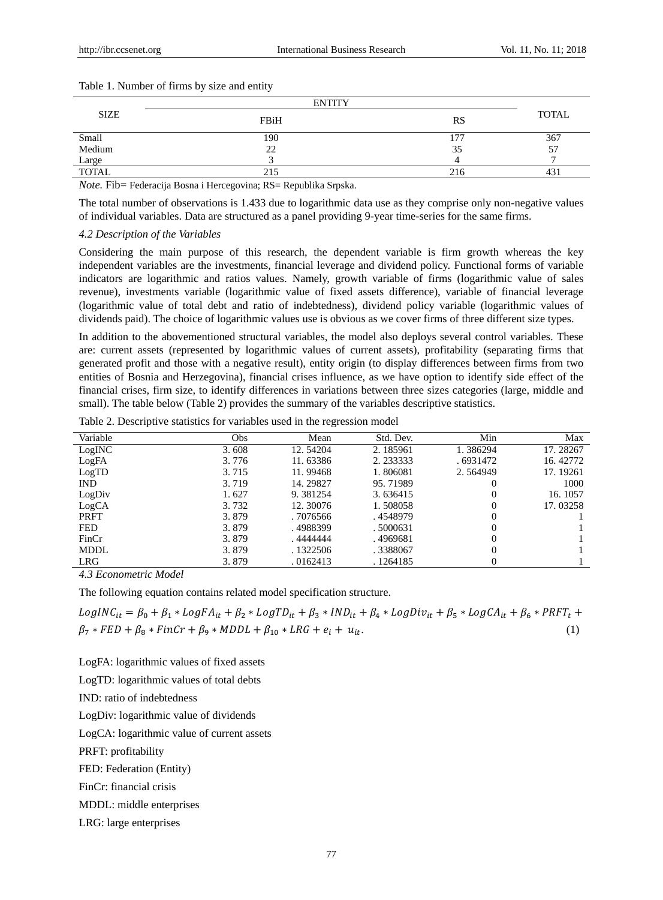|             | <b>ENTITY</b> |           |              |
|-------------|---------------|-----------|--------------|
| <b>SIZE</b> | FBiH          | <b>RS</b> | <b>TOTAL</b> |
| Small       | 190           | $-$       | 367          |
| Medium      | 22            | 35        | 57           |
| Large       |               |           |              |
| TOTAL       | 215           | 216       | $\sim$<br>43 |

#### Table 1. Number of firms by size and entity

*Note.* Fib= Federacija Bosna i Hercegovina; RS= Republika Srpska.

The total number of observations is 1.433 due to logarithmic data use as they comprise only non-negative values of individual variables. Data are structured as a panel providing 9-year time-series for the same firms.

## *4.2 Description of the Variables*

Considering the main purpose of this research, the dependent variable is firm growth whereas the key independent variables are the investments, financial leverage and dividend policy. Functional forms of variable indicators are logarithmic and ratios values. Namely, growth variable of firms (logarithmic value of sales revenue), investments variable (logarithmic value of fixed assets difference), variable of financial leverage (logarithmic value of total debt and ratio of indebtedness), dividend policy variable (logarithmic values of dividends paid). The choice of logarithmic values use is obvious as we cover firms of three different size types.

In addition to the abovementioned structural variables, the model also deploys several control variables. These are: current assets (represented by logarithmic values of current assets), profitability (separating firms that generated profit and those with a negative result), entity origin (to display differences between firms from two entities of Bosnia and Herzegovina), financial crises influence, as we have option to identify side effect of the financial crises, firm size, to identify differences in variations between three sizes categories (large, middle and small). The table below (Table 2) provides the summary of the variables descriptive statistics.

| Table 2. Descriptive statistics for variables used in the regression model |  |  |  |
|----------------------------------------------------------------------------|--|--|--|
|                                                                            |  |  |  |

| Variable    | <b>Obs</b> | Mean      | Std. Dev. | Min       | Max      |
|-------------|------------|-----------|-----------|-----------|----------|
| LogINC      | 3.608      | 12.54204  | 2.185961  | 1.386294  | 17.28267 |
| LogFA       | 3.776      | 11.63386  | 2.233333  | . 6931472 | 16.42772 |
| LogTD       | 3.715      | 11.99468  | 1.806081  | 2.564949  | 17.19261 |
| <b>IND</b>  | 3.719      | 14.29827  | 95.71989  |           | 1000     |
| LogDiv      | 1.627      | 9.381254  | 3.636415  |           | 16.1057  |
| LogCA       | 3.732      | 12.30076  | 1.508058  |           | 17.03258 |
| <b>PRFT</b> | 3.879      | . 7076566 | . 4548979 |           |          |
| <b>FED</b>  | 3.879      | .4988399  | .5000631  |           |          |
| FinCr       | 3.879      | .4444444  | .4969681  |           |          |
| <b>MDDL</b> | 3.879      | . 1322506 | .3388067  |           |          |
| LRG         | 3.879      | .0162413  | . 1264185 |           |          |

*4.3 Econometric Model*

The following equation contains related model specification structure.

 $LogINC_{it} = \beta_0 + \beta_1 * LogFA_{it} + \beta_2 * LogTD_{it} + \beta_3 * IND_{it} + \beta_4 * LogDiv_{it} + \beta_5 * LogCA_{it} + \beta_6 * PRFT_t +$  $\beta_7 * FED + \beta_8 * FinCr + \beta_9 * MDDL + \beta_{10} * LRG + e_i + u_{it}.$  (1)

LogFA: logarithmic values of fixed assets

LogTD: logarithmic values of total debts

IND: ratio of indebtedness

LogDiv: logarithmic value of dividends

LogCA: logarithmic value of current assets

PRFT: profitability

FED: Federation (Entity)

FinCr: financial crisis

MDDL: middle enterprises

LRG: large enterprises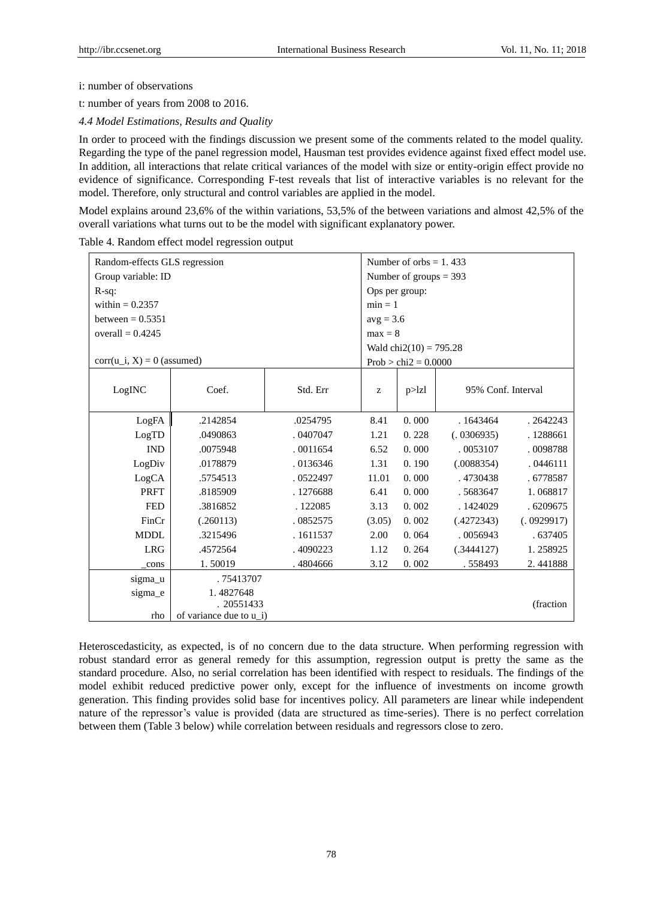$\Gamma$ 

i: number of observations

t: number of years from 2008 to 2016.

*4.4 Model Estimations, Results and Quality*

In order to proceed with the findings discussion we present some of the comments related to the model quality. Regarding the type of the panel regression model, Hausman test provides evidence against fixed effect model use. In addition, all interactions that relate critical variances of the model with size or entity-origin effect provide no evidence of significance. Corresponding F-test reveals that list of interactive variables is no relevant for the model. Therefore, only structural and control variables are applied in the model.

Model explains around 23,6% of the within variations, 53,5% of the between variations and almost 42,5% of the overall variations what turns out to be the model with significant explanatory power.

| Random-effects GLS regression |                         | Number of orbs $= 1.433$ |                |                                 |                    |            |  |
|-------------------------------|-------------------------|--------------------------|----------------|---------------------------------|--------------------|------------|--|
| Group variable: ID            |                         |                          |                | Number of groups $=$ 393        |                    |            |  |
| $R-sq$ :                      |                         |                          | Ops per group: |                                 |                    |            |  |
| within $= 0.2357$             |                         |                          | $min = 1$      |                                 |                    |            |  |
| between $= 0.5351$            |                         |                          | $avg = 3.6$    |                                 |                    |            |  |
| overall = $0.4245$            |                         |                          | $max = 8$      |                                 |                    |            |  |
|                               |                         |                          |                | Wald $\text{chi2}(10) = 795.28$ |                    |            |  |
| $corr(u_i, X) = 0$ (assumed)  |                         |                          |                | $Prob > chi2 = 0.0000$          |                    |            |  |
|                               |                         |                          |                |                                 |                    |            |  |
| LogINC                        | Coef.                   | Std. Err                 | Z              | p > lz                          | 95% Conf. Interval |            |  |
|                               |                         |                          |                |                                 |                    |            |  |
| LogFA                         | .2142854                | .0254795                 | 8.41           | 0.000                           | . 1643464          | .2642243   |  |
| LogTD                         | .0490863                | .0407047                 | 1.21           | 0.228                           | (.0306935)         | .1288661   |  |
| <b>IND</b>                    | .0075948                | .0011654                 | 6.52           | 0.000                           | .0053107           | .0098788   |  |
| LogDiv                        | .0178879                | .0136346                 | 1.31           | 0.190                           | (.0088354)         | .0446111   |  |
| LogCA                         | .5754513                | .0522497                 | 11.01          | 0.000                           | .4730438           | . 6778587  |  |
| <b>PRFT</b>                   | .8185909                | .1276688                 | 6.41           | 0.000                           | .5683647           | 1.068817   |  |
| <b>FED</b>                    | .3816852                | .122085                  | 3.13           | 0.002                           | .1424029           | .6209675   |  |
| FinCr                         | (.260113)               | .0852575                 | (3.05)         | 0.002                           | (.4272343)         | (.0929917) |  |
| <b>MDDL</b>                   | .3215496                | .1611537                 | 2.00           | 0.064                           | .0056943           | .637405    |  |
| <b>LRG</b>                    | .4572564                | .4090223                 | 1.12           | 0.264                           | (.3444127)         | 1.258925   |  |
| cons                          | 1.50019                 | .4804666                 | 3.12           | 0.002                           | .558493            | 2.441888   |  |
| sigma u                       | .75413707               |                          |                |                                 |                    |            |  |
| sigma_e                       | 1.4827648               |                          |                |                                 |                    |            |  |
|                               | . 20551433              |                          |                |                                 |                    | (fraction) |  |
| rho                           | of variance due to u_i) |                          |                |                                 |                    |            |  |

Table 4. Random effect model regression output

Heteroscedasticity, as expected, is of no concern due to the data structure. When performing regression with robust standard error as general remedy for this assumption, regression output is pretty the same as the standard procedure. Also, no serial correlation has been identified with respect to residuals. The findings of the model exhibit reduced predictive power only, except for the influence of investments on income growth generation. This finding provides solid base for incentives policy. All parameters are linear while independent nature of the repressor's value is provided (data are structured as time-series). There is no perfect correlation between them (Table 3 below) while correlation between residuals and regressors close to zero.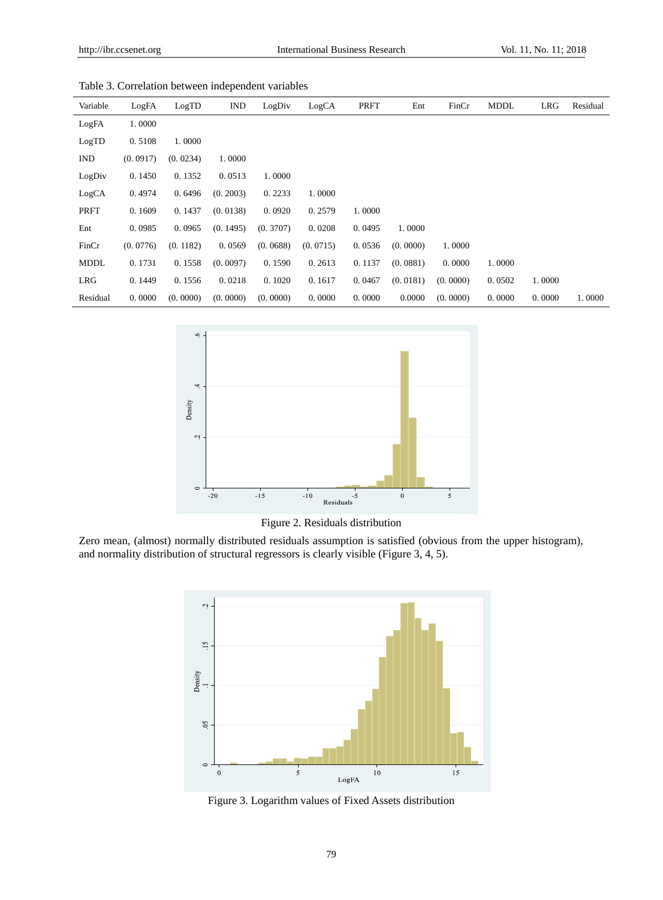| Variable    | LogFA    | LogTD    | <b>IND</b> | LogDiv   | LogCA    | PRFT   | Ent      | FinCr    | <b>MDDL</b> | <b>LRG</b> | Residual |
|-------------|----------|----------|------------|----------|----------|--------|----------|----------|-------------|------------|----------|
| LogFA       | 1.0000   |          |            |          |          |        |          |          |             |            |          |
| LogTD       | 0.5108   | 1.0000   |            |          |          |        |          |          |             |            |          |
| <b>IND</b>  | (0.0917) | (0.0234) | 1.0000     |          |          |        |          |          |             |            |          |
| LogDiv      | 0.1450   | 0.1352   | 0.0513     | 1.0000   |          |        |          |          |             |            |          |
| LogCA       | 0.4974   | 0.6496   | (0.2003)   | 0.2233   | 1.0000   |        |          |          |             |            |          |
| PRFT        | 0.1609   | 0.1437   | (0.0138)   | 0.0920   | 0.2579   | 1.0000 |          |          |             |            |          |
| Ent         | 0.0985   | 0.0965   | (0.1495)   | (0.3707) | 0.0208   | 0.0495 | 1.0000   |          |             |            |          |
| FinCr       | (0.0776) | (0.1182) | 0.0569     | (0.0688) | (0.0715) | 0.0536 | (0.0000) | 1.0000   |             |            |          |
| <b>MDDL</b> | 0.1731   | 0.1558   | (0.0097)   | 0.1590   | 0.2613   | 0.1137 | (0.0881) | 0.0000   | 1.0000      |            |          |
| LRG         | 0.1449   | 0.1556   | 0.0218     | 0.1020   | 0.1617   | 0.0467 | (0.0181) | (0.0000) | 0.0502      | 1.0000     |          |
| Residual    | 0.0000   | (0.0000) | (0.0000)   | (0.0000) | 0.0000   | 0.0000 | 0.0000   | (0.0000) | 0.0000      | 0.0000     | 1.0000   |



Figure 2. Residuals distribution

Zero mean, (almost) normally distributed residuals assumption is satisfied (obvious from the upper histogram), and normality distribution of structural regressors is clearly visible (Figure 3, 4, 5).



Figure 3. Logarithm values of Fixed Assets distribution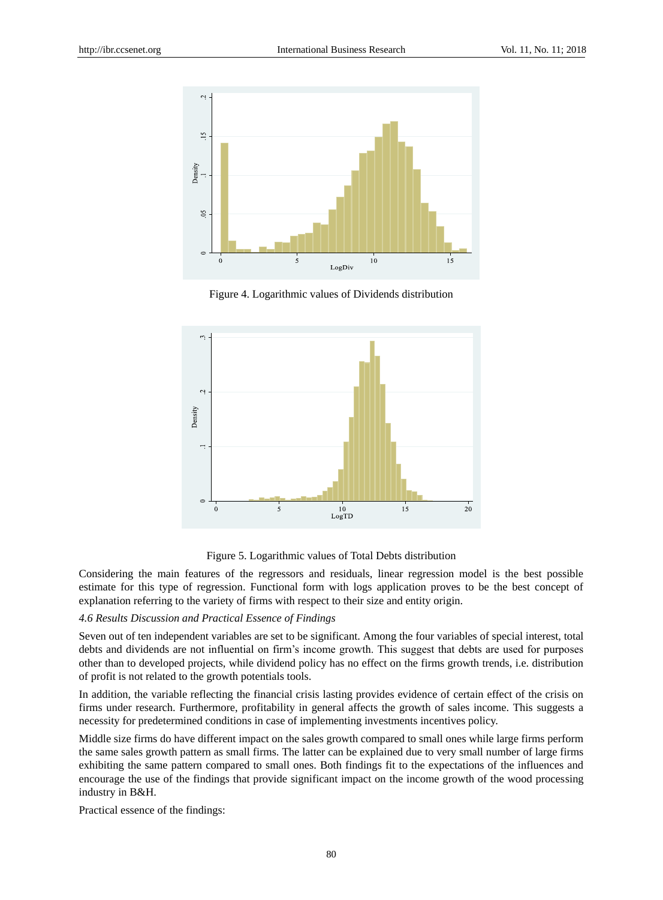

Figure 4. Logarithmic values of Dividends distribution





Considering the main features of the regressors and residuals, linear regression model is the best possible estimate for this type of regression. Functional form with logs application proves to be the best concept of explanation referring to the variety of firms with respect to their size and entity origin.

#### *4.6 Results Discussion and Practical Essence of Findings*

Seven out of ten independent variables are set to be significant. Among the four variables of special interest, total debts and dividends are not influential on firm's income growth. This suggest that debts are used for purposes other than to developed projects, while dividend policy has no effect on the firms growth trends, i.e. distribution of profit is not related to the growth potentials tools.

In addition, the variable reflecting the financial crisis lasting provides evidence of certain effect of the crisis on firms under research. Furthermore, profitability in general affects the growth of sales income. This suggests a necessity for predetermined conditions in case of implementing investments incentives policy.

Middle size firms do have different impact on the sales growth compared to small ones while large firms perform the same sales growth pattern as small firms. The latter can be explained due to very small number of large firms exhibiting the same pattern compared to small ones. Both findings fit to the expectations of the influences and encourage the use of the findings that provide significant impact on the income growth of the wood processing industry in B&H.

Practical essence of the findings: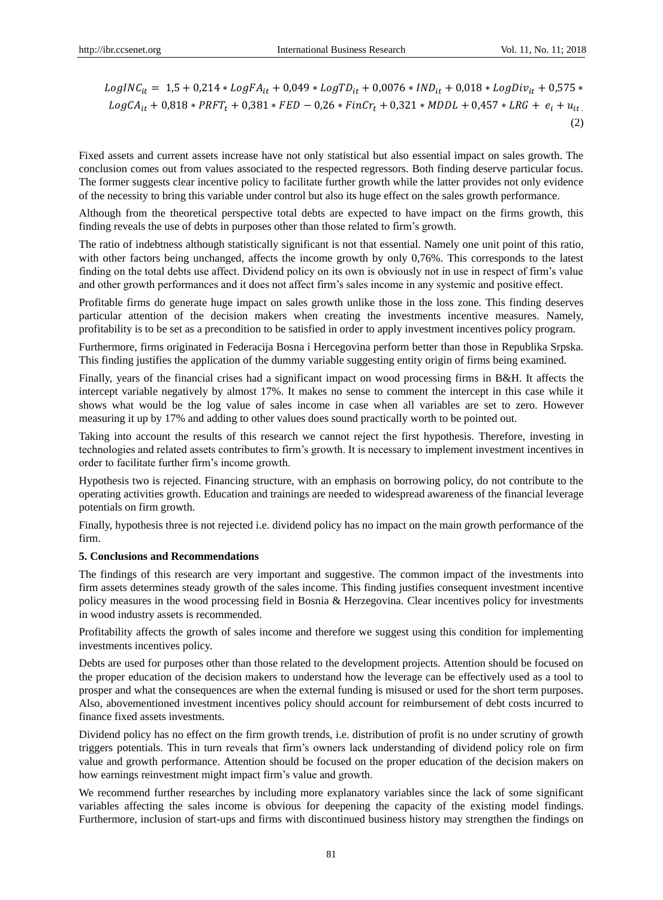$LogINC_{it} = 1.5 + 0.214 * LogFA_{it} + 0.049 * LogTD_{it} + 0.0076 * IND_{it} + 0.018 * LogDiv_{it} + 0.575 *$  $LogCA_{it} + 0.818 * PRFT_t + 0.381 * FED - 0.26 * FinCr_t + 0.321 * MDDL + 0.457 * LRG + e_i + u_{it}$ (2)

Fixed assets and current assets increase have not only statistical but also essential impact on sales growth. The conclusion comes out from values associated to the respected regressors. Both finding deserve particular focus. The former suggests clear incentive policy to facilitate further growth while the latter provides not only evidence of the necessity to bring this variable under control but also its huge effect on the sales growth performance.

Although from the theoretical perspective total debts are expected to have impact on the firms growth, this finding reveals the use of debts in purposes other than those related to firm's growth.

The ratio of indebtness although statistically significant is not that essential. Namely one unit point of this ratio, with other factors being unchanged, affects the income growth by only 0.76%. This corresponds to the latest finding on the total debts use affect. Dividend policy on its own is obviously not in use in respect of firm's value and other growth performances and it does not affect firm's sales income in any systemic and positive effect.

Profitable firms do generate huge impact on sales growth unlike those in the loss zone. This finding deserves particular attention of the decision makers when creating the investments incentive measures. Namely, profitability is to be set as a precondition to be satisfied in order to apply investment incentives policy program.

Furthermore, firms originated in Federacija Bosna i Hercegovina perform better than those in Republika Srpska. This finding justifies the application of the dummy variable suggesting entity origin of firms being examined.

Finally, years of the financial crises had a significant impact on wood processing firms in B&H. It affects the intercept variable negatively by almost 17%. It makes no sense to comment the intercept in this case while it shows what would be the log value of sales income in case when all variables are set to zero. However measuring it up by 17% and adding to other values does sound practically worth to be pointed out.

Taking into account the results of this research we cannot reject the first hypothesis. Therefore, investing in technologies and related assets contributes to firm's growth. It is necessary to implement investment incentives in order to facilitate further firm's income growth.

Hypothesis two is rejected. Financing structure, with an emphasis on borrowing policy, do not contribute to the operating activities growth. Education and trainings are needed to widespread awareness of the financial leverage potentials on firm growth.

Finally, hypothesis three is not rejected i.e. dividend policy has no impact on the main growth performance of the firm.

#### **5. Conclusions and Recommendations**

The findings of this research are very important and suggestive. The common impact of the investments into firm assets determines steady growth of the sales income. This finding justifies consequent investment incentive policy measures in the wood processing field in Bosnia & Herzegovina. Clear incentives policy for investments in wood industry assets is recommended.

Profitability affects the growth of sales income and therefore we suggest using this condition for implementing investments incentives policy.

Debts are used for purposes other than those related to the development projects. Attention should be focused on the proper education of the decision makers to understand how the leverage can be effectively used as a tool to prosper and what the consequences are when the external funding is misused or used for the short term purposes. Also, abovementioned investment incentives policy should account for reimbursement of debt costs incurred to finance fixed assets investments.

Dividend policy has no effect on the firm growth trends, i.e. distribution of profit is no under scrutiny of growth triggers potentials. This in turn reveals that firm's owners lack understanding of dividend policy role on firm value and growth performance. Attention should be focused on the proper education of the decision makers on how earnings reinvestment might impact firm's value and growth.

We recommend further researches by including more explanatory variables since the lack of some significant variables affecting the sales income is obvious for deepening the capacity of the existing model findings. Furthermore, inclusion of start-ups and firms with discontinued business history may strengthen the findings on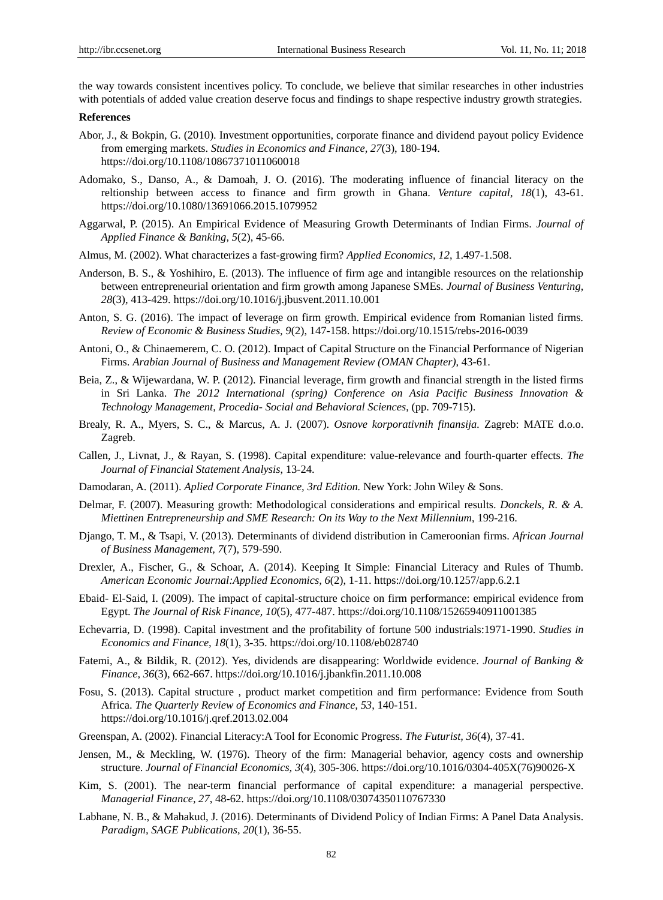the way towards consistent incentives policy. To conclude, we believe that similar researches in other industries with potentials of added value creation deserve focus and findings to shape respective industry growth strategies.

#### **References**

- Abor, J., & Bokpin, G. (2010). Investment opportunities, corporate finance and dividend payout policy Evidence from emerging markets. *Studies in Economics and Finance, 27*(3), 180-194. https://doi.org/10.1108/10867371011060018
- Adomako, S., Danso, A., & Damoah, J. O. (2016). The moderating influence of financial literacy on the reltionship between access to finance and firm growth in Ghana. *Venture capital, 18*(1), 43-61. https://doi.org/10.1080/13691066.2015.1079952
- Aggarwal, P. (2015). An Empirical Evidence of Measuring Growth Determinants of Indian Firms. *Journal of Applied Finance & Banking, 5*(2), 45-66.
- Almus, M. (2002). What characterizes a fast-growing firm? *Applied Economics, 12*, 1.497-1.508.
- Anderson, B. S., & Yoshihiro, E. (2013). The influence of firm age and intangible resources on the relationship between entrepreneurial orientation and firm growth among Japanese SMEs. *Journal of Business Venturing, 28*(3), 413-429. https://doi.org/10.1016/j.jbusvent.2011.10.001
- Anton, S. G. (2016). The impact of leverage on firm growth. Empirical evidence from Romanian listed firms. *Review of Economic & Business Studies, 9*(2), 147-158. https://doi.org/10.1515/rebs-2016-0039
- Antoni, O., & Chinaemerem, C. O. (2012). Impact of Capital Structure on the Financial Performance of Nigerian Firms. *Arabian Journal of Business and Management Review (OMAN Chapter)*, 43-61.
- Beia, Z., & Wijewardana, W. P. (2012). Financial leverage, firm growth and financial strength in the listed firms in Sri Lanka. *The 2012 International (spring) Conference on Asia Pacific Business Innovation & Technology Management, Procedia- Social and Behavioral Sciences*, (pp. 709-715).
- Brealy, R. A., Myers, S. C., & Marcus, A. J. (2007). *Osnove korporativnih finansija.* Zagreb: MATE d.o.o. Zagreb.
- Callen, J., Livnat, J., & Rayan, S. (1998). Capital expenditure: value-relevance and fourth-quarter effects. *The Journal of Financial Statement Analysis*, 13-24.
- Damodaran, A. (2011). *Aplied Corporate Finance, 3rd Edition.* New York: John Wiley & Sons.
- Delmar, F. (2007). Measuring growth: Methodological considerations and empirical results. *Donckels, R. & A. Miettinen Entrepreneurship and SME Research: On its Way to the Next Millennium*, 199-216.
- Django, T. M., & Tsapi, V. (2013). Determinants of dividend distribution in Cameroonian firms. *African Journal of Business Management, 7*(7), 579-590.
- Drexler, A., Fischer, G., & Schoar, A. (2014). Keeping It Simple: Financial Literacy and Rules of Thumb. *American Economic Journal:Applied Economics, 6*(2), 1-11. https://doi.org/10.1257/app.6.2.1
- Ebaid- El-Said, I. (2009). The impact of capital-structure choice on firm performance: empirical evidence from Egypt. *The Journal of Risk Finance, 10*(5), 477-487. https://doi.org/10.1108/15265940911001385
- Echevarria, D. (1998). Capital investment and the profitability of fortune 500 industrials:1971-1990. *Studies in Economics and Finance, 18*(1), 3-35. https://doi.org/10.1108/eb028740
- Fatemi, A., & Bildik, R. (2012). Yes, dividends are disappearing: Worldwide evidence. *Journal of Banking & Finance, 36*(3), 662-667. https://doi.org/10.1016/j.jbankfin.2011.10.008
- Fosu, S. (2013). Capital structure , product market competition and firm performance: Evidence from South Africa. *The Quarterly Review of Economics and Finance, 53*, 140-151. https://doi.org/10.1016/j.qref.2013.02.004
- Greenspan, A. (2002). Financial Literacy:A Tool for Economic Progress. *The Futurist, 36*(4), 37-41.
- Jensen, M., & Meckling, W. (1976). Theory of the firm: Managerial behavior, agency costs and ownership structure. *Journal of Financial Economics, 3*(4), 305-306. https://doi.org/10.1016/0304-405X(76)90026-X
- Kim, S. (2001). The near-term financial performance of capital expenditure: a managerial perspective. *Managerial Finance, 27*, 48-62. https://doi.org/10.1108/03074350110767330
- Labhane, N. B., & Mahakud, J. (2016). Determinants of Dividend Policy of Indian Firms: A Panel Data Analysis. *Paradigm, SAGE Publications, 20*(1), 36-55.